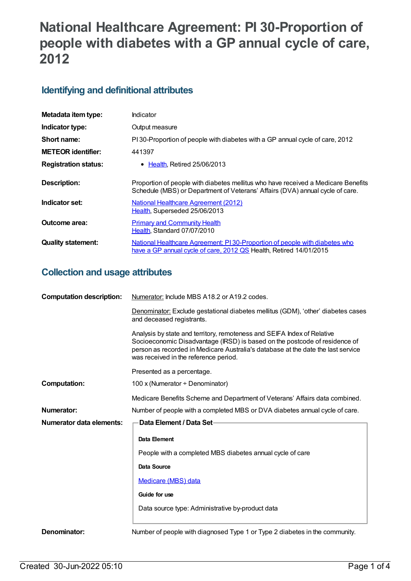# **National Healthcare Agreement: PI 30-Proportion of people with diabetes with a GP annual cycle of care, 2012**

### **Identifying and definitional attributes**

| Metadata item type:         | Indicator                                                                                                                                                          |
|-----------------------------|--------------------------------------------------------------------------------------------------------------------------------------------------------------------|
| Indicator type:             | Output measure                                                                                                                                                     |
| Short name:                 | PI30-Proportion of people with diabetes with a GP annual cycle of care, 2012                                                                                       |
| <b>METEOR identifier:</b>   | 441397                                                                                                                                                             |
| <b>Registration status:</b> | $\bullet$ Health. Retired 25/06/2013                                                                                                                               |
| Description:                | Proportion of people with diabetes mellitus who have received a Medicare Benefits<br>Schedule (MBS) or Department of Veterans' Affairs (DVA) annual cycle of care. |
| Indicator set:              | National Healthcare Agreement (2012)<br>Health, Superseded 25/06/2013                                                                                              |
| Outcome area:               | <b>Primary and Community Health</b><br>Health, Standard 07/07/2010                                                                                                 |
| <b>Quality statement:</b>   | National Healthcare Agreement: PI 30-Proportion of people with diabetes who<br>have a GP annual cycle of care, 2012 QS Health, Retired 14/01/2015                  |

## **Collection and usage attributes**

| <b>Computation description:</b> | Numerator: Include MBS A18.2 or A19.2 codes.                                                                                                                                                                                                                                       |  |
|---------------------------------|------------------------------------------------------------------------------------------------------------------------------------------------------------------------------------------------------------------------------------------------------------------------------------|--|
|                                 | Denominator: Exclude gestational diabetes mellitus (GDM), 'other' diabetes cases<br>and deceased registrants.                                                                                                                                                                      |  |
|                                 | Analysis by state and territory, remoteness and SEIFA Index of Relative<br>Socioeconomic Disadvantage (IRSD) is based on the postcode of residence of<br>person as recorded in Medicare Australia's database at the date the last service<br>was received in the reference period. |  |
|                                 | Presented as a percentage.                                                                                                                                                                                                                                                         |  |
| Computation:                    | 100 x (Numerator ÷ Denominator)                                                                                                                                                                                                                                                    |  |
|                                 | Medicare Benefits Scheme and Department of Veterans' Affairs data combined.                                                                                                                                                                                                        |  |
| Numerator:                      | Number of people with a completed MBS or DVA diabetes annual cycle of care.                                                                                                                                                                                                        |  |
| Numerator data elements:        | Data Element / Data Set-                                                                                                                                                                                                                                                           |  |
|                                 | Data Element                                                                                                                                                                                                                                                                       |  |
|                                 | People with a completed MBS diabetes annual cycle of care                                                                                                                                                                                                                          |  |
|                                 | <b>Data Source</b>                                                                                                                                                                                                                                                                 |  |
|                                 | Medicare (MBS) data                                                                                                                                                                                                                                                                |  |
|                                 | Guide for use                                                                                                                                                                                                                                                                      |  |
|                                 | Data source type: Administrative by-product data                                                                                                                                                                                                                                   |  |
| Denominator:                    | Number of people with diagnosed Type 1 or Type 2 diabetes in the community.                                                                                                                                                                                                        |  |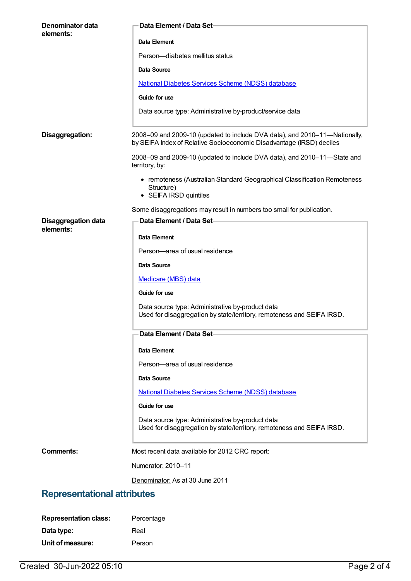| Denominator data                   | Data Element / Data Set-                                                                                                                           |  |
|------------------------------------|----------------------------------------------------------------------------------------------------------------------------------------------------|--|
| elements:                          | Data Element                                                                                                                                       |  |
|                                    | Person-diabetes mellitus status                                                                                                                    |  |
|                                    | Data Source                                                                                                                                        |  |
|                                    | <b>National Diabetes Services Scheme (NDSS) database</b>                                                                                           |  |
|                                    | Guide for use                                                                                                                                      |  |
|                                    | Data source type: Administrative by-product/service data                                                                                           |  |
| Disaggregation:                    | 2008-09 and 2009-10 (updated to include DVA data), and 2010-11-Nationally,<br>by SEIFA Index of Relative Socioeconomic Disadvantage (IRSD) deciles |  |
|                                    | 2008-09 and 2009-10 (updated to include DVA data), and 2010-11-State and<br>territory, by:                                                         |  |
|                                    | • remoteness (Australian Standard Geographical Classification Remoteness<br>Structure)<br>• SEIFA IRSD quintiles                                   |  |
|                                    | Some disaggregations may result in numbers too small for publication.                                                                              |  |
| <b>Disaggregation data</b>         | Data Element / Data Set-                                                                                                                           |  |
| elements:                          | Data Element                                                                                                                                       |  |
|                                    | Person-area of usual residence                                                                                                                     |  |
|                                    | Data Source                                                                                                                                        |  |
|                                    | Medicare (MBS) data                                                                                                                                |  |
|                                    | Guide for use                                                                                                                                      |  |
|                                    | Data source type: Administrative by-product data<br>Used for disaggregation by state/territory, remoteness and SEIFA IRSD.                         |  |
|                                    | Data Element / Data Set-                                                                                                                           |  |
|                                    |                                                                                                                                                    |  |
|                                    | Data Element                                                                                                                                       |  |
|                                    | Person-area of usual residence<br><b>Data Source</b>                                                                                               |  |
|                                    | National Diabetes Services Scheme (NDSS) database                                                                                                  |  |
|                                    | Guide for use                                                                                                                                      |  |
|                                    | Data source type: Administrative by-product data                                                                                                   |  |
|                                    | Used for disaggregation by state/territory, remoteness and SEIFA IRSD.                                                                             |  |
| <b>Comments:</b>                   | Most recent data available for 2012 CRC report:                                                                                                    |  |
|                                    | Numerator: 2010-11                                                                                                                                 |  |
|                                    | Denominator: As at 30 June 2011                                                                                                                    |  |
| <b>Representational attributes</b> |                                                                                                                                                    |  |
| <b>Representation class:</b>       | Percentage                                                                                                                                         |  |

| Representation class: | Percenta |
|-----------------------|----------|
| Data type:            | Real     |
| Unit of measure:      | Person   |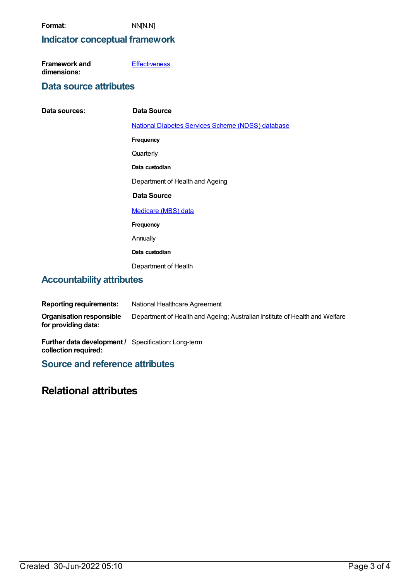### **Indicator conceptual framework**

| Framework and | <b>Effectiveness</b> |
|---------------|----------------------|
| dimensions:   |                      |

#### **Data source attributes**

| Data sources:                    | Data Source                                              |  |
|----------------------------------|----------------------------------------------------------|--|
|                                  | <b>National Diabetes Services Scheme (NDSS) database</b> |  |
|                                  | Frequency                                                |  |
|                                  | Quarterly                                                |  |
|                                  | Data custodian                                           |  |
|                                  | Department of Health and Ageing                          |  |
|                                  | Data Source                                              |  |
|                                  | Medicare (MBS) data                                      |  |
|                                  | Frequency                                                |  |
|                                  | Annually                                                 |  |
|                                  | Data custodian                                           |  |
|                                  | Department of Health                                     |  |
| <b>Accountability attributes</b> |                                                          |  |

#### **Reporting requirements:** National Healthcare Agreement **Organisation responsible for providing data:** Department of Health and Ageing; Australian Institute of Health and Welfare

**Further data development /** Specification: Long-term **collection required:**

**Source and reference attributes**

### **Relational attributes**